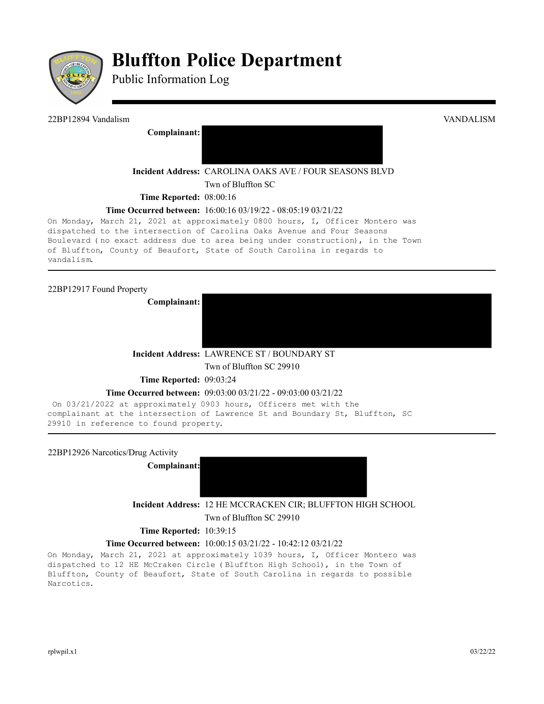

# **Bluffton Police Department**

Public Information Log

22BP12894 Vandalism VANDALISM **Complainant: Incident Address:** CAROLINA OAKS AVE / FOUR SEASONS BLVD Twn of Bluffton SC **Time Reported:** 08:00:16 **Time Occurred between:** 16:00:16 03/19/22 - 08:05:19 03/21/22 On Monday, March 21, 2021 at approximately 0800 hours, I, Officer Montero was dispatched to the intersection of Carolina Oaks Avenue and Four Seasons

Boulevard (no exact address due to area being under construction), in the Town of Bluffton, County of Beaufort, State of South Carolina in regards to vandalism.

22BP12917 Found Property

**Complainant:** 

**Incident Address:** LAWRENCE ST / BOUNDARY ST

Twn of Bluffton SC 29910

**Time Reported: 09:03:24** 

### **Time Occurred between:** 09:03:00 03/21/22 - 09:03:00 03/21/22

On 03/21/2022 at approximately 0903 hours, Officers met with the complainant at the intersection of Lawrence St and Boundary St, Bluffton, SC 29910 in reference to found property.

22BP12926 Narcotics/Drug Activity

**Complainant:**



**Incident Address:** 12 HE MCCRACKEN CIR; BLUFFTON HIGH SCHOOL Twn of Bluffton SC 29910

### **Time Reported:** 10:39:15

### **Time Occurred between:** 10:00:15 03/21/22 - 10:42:12 03/21/22

On Monday, March 21, 2021 at approximately 1039 hours, I, Officer Montero was dispatched to 12 HE McCraken Circle (Bluffton High School), in the Town of Bluffton, County of Beaufort, State of South Carolina in regards to possible Narcotics.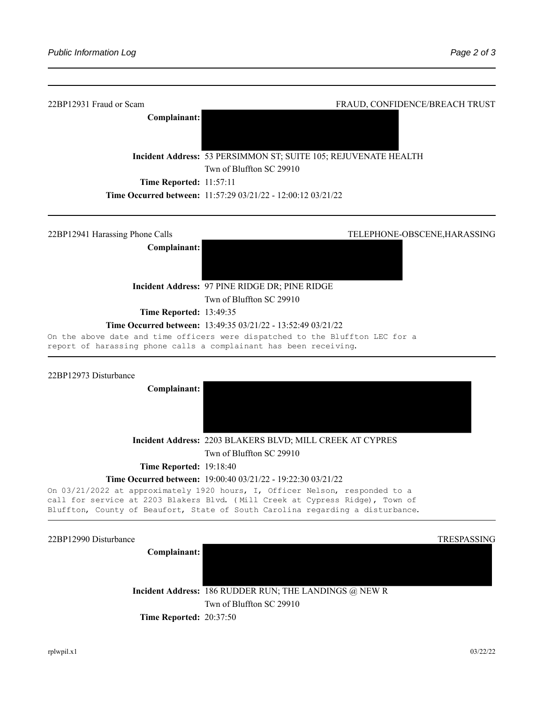

On 03/21/2022 at approximately 1920 hours, I, Officer Nelson, responded to a

call for service at 2203 Blakers Blvd. (Mill Creek at Cypress Ridge), Town of Bluffton, County of Beaufort, State of South Carolina regarding a disturbance.

| 22BP12990 Disturbance          |                                                        | <b>TRESPASSING</b> |
|--------------------------------|--------------------------------------------------------|--------------------|
| Complainant:                   |                                                        |                    |
|                                |                                                        |                    |
|                                | Incident Address: 186 RUDDER RUN; THE LANDINGS @ NEW R |                    |
|                                | Twn of Bluffton SC 29910                               |                    |
| <b>Time Reported: 20:37:50</b> |                                                        |                    |